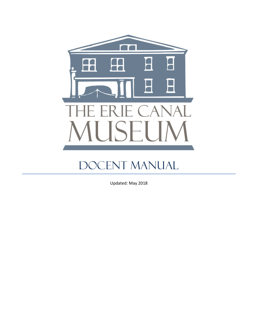

# DOCENT MANUAL

Updated: May 2018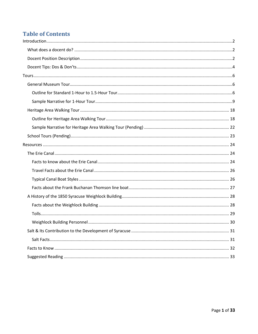# **Table of Contents**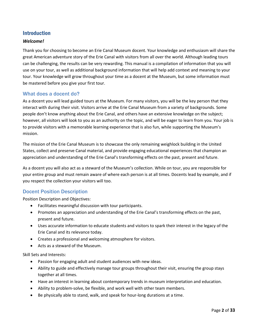# Introduction

### <span id="page-2-0"></span>*Welcome!*

Thank you for choosing to become an Erie Canal Museum docent. Your knowledge and enthusiasm will share the great American adventure story of the Erie Canal with visitors from all over the world. Although leading tours can be challenging, the results can be very rewarding. This manual is a compilation of information that you will use on your tour, as well as additional background information that will help add context and meaning to your tour. Your knowledge will grow throughout your time as a docent at the Museum, but some information must be mastered before you give your first tour.

### <span id="page-2-1"></span>What does a docent do?

As a docent you will lead guided tours at the Museum. For many visitors, you will be the key person that they interact with during their visit. Visitors arrive at the Erie Canal Museum from a variety of backgrounds. Some people don't know anything about the Erie Canal, and others have an extensive knowledge on the subject; however, all visitors will look to you as an authority on the topic, and will be eager to learn from you. Your job is to provide visitors with a memorable learning experience that is also fun, while supporting the Museum's mission.

The mission of the Erie Canal Museum is to showcase the only remaining weighlock building in the United States, collect and preserve Canal material, and provide engaging educational experiences that champion an appreciation and understanding of the Erie Canal's transforming effects on the past, present and future.

As a docent you will also act as a steward of the Museum's collection. While on tour, you are responsible for your entire group and must remain aware of where each person is at all times. Docents lead by example, and if you respect the collection your visitors will too.

### <span id="page-2-2"></span>Docent Position Description

Position Description and Objectives:

- Facilitates meaningful discussion with tour participants.
- Promotes an appreciation and understanding of the Erie Canal's transforming effects on the past, present and future.
- Uses accurate information to educate students and visitors to spark their interest in the legacy of the Erie Canal and its relevance today.
- Creates a professional and welcoming atmosphere for visitors.
- Acts as a steward of the Museum.

Skill Sets and Interests:

- Passion for engaging adult and student audiences with new ideas.
- Ability to guide and effectively manage tour groups throughout their visit, ensuring the group stays together at all times.
- Have an interest in learning about contemporary trends in museum interpretation and education.
- Ability to problem-solve, be flexible, and work well with other team members.
- Be physically able to stand, walk, and speak for hour-long durations at a time.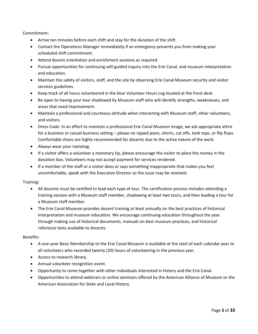Commitment:

- Arrive ten minutes before each shift and stay for the duration of the shift.
- Contact the Operations Manager immediately if an emergency prevents you from making your scheduled shift commitment.
- Attend docent orientation and enrichment sessions as required.
- Pursue opportunities for continuing self-guided inquiry into the Erie Canal, and museum interpretation and education.
- Maintain the safety of visitors, staff, and the site by observing Erie Canal Museum security and visitor services guidelines.
- Keep track of all hours volunteered in the blue Volunteer Hours Log located at the front desk.
- Be open to having your tour shadowed by Museum staff who will identify strengths, weaknesses, and areas that need improvement.
- Maintain a professional and courteous attitude when interacting with Museum staff, other volunteers, and visitors.
- Dress Code: In an effort to maintain a professional Erie Canal Museum image, we ask appropriate attire for a business or casual business setting – please no ripped jeans, shorts, cut offs, tank tops, or flip flops. Comfortable shoes are highly recommended for docents due to the active nature of the work.
- Always wear your nametag.
- If a visitor offers a volunteer a monetary tip, please encourage the visitor to place the money in the donation box. Volunteers may not accept payment for services rendered.
- If a member of the staff or a visitor does or says something inappropriate that makes you feel uncomfortable, speak with the Executive Director so the issue may be resolved.

Training:

- All docents must be certified to lead each type of tour. The certification process includes attending a training session with a Museum staff member, shadowing at least two tours, and then leading a tour for a Museum staff member.
- The Erie Canal Museum provides docent training at least annually on the best practices of historical interpretation and museum education. We encourage continuing education throughout the year through making use of historical documents, manuals on best museum practices, and historical reference texts available to docents.

#### Benefits:

- A one-year Basic Membership to the Erie Canal Museum is available at the start of each calendar year to all volunteers who recorded twenty (20) hours of volunteering in the previous year.
- Access to research library.
- Annual volunteer recognition event.
- Opportunity to come together with other individuals interested in history and the Erie Canal.
- Opportunities to attend webinars or online seminars offered by the American Alliance of Museum or the American Association for State and Local History.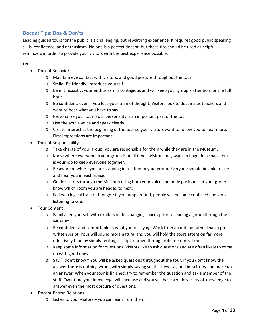# <span id="page-4-0"></span>Docent Tips: Dos & Don'ts

Leading guided tours for the public is a challenging, but rewarding experience. It requires good public speaking skills, confidence, and enthusiasm. No one is a perfect docent, but these tips should be used as helpful reminders in order to provide your visitors with the best experience possible.

### **Do**

- Docent Behavior
	- o Maintain eye contact with visitors, and good posture throughout the tour.
	- o Smile! Be friendly. Introduce yourself.
	- o Be enthusiastic: your enthusiasm is contagious and will keep your group's attention for the full hour.
	- o Be confident: even if you lose your train of thought. Visitors look to docents as teachers and want to hear what you have to say.
	- o Personalize your tour. Your personality is an important part of the tour.
	- o Use the active voice and speak clearly.
	- o Create interest at the beginning of the tour so your visitors want to follow you to hear more. First impressions are important.
- Docent Responsibility
	- o Take charge of your group; you are responsible for them while they are in the Museum.
	- o Know where everyone in your group is at all times. Visitors may want to linger in a space, but it is your job to keep everyone together.
	- o Be aware of where you are standing in relation to your group. Everyone should be able to see and hear you in each space.
	- o Guide visitors through the Museum using both your voice and body position. Let your group know which room you are headed to next.
	- o Follow a logical train of thought: if you jump around, people will become confused and stop listening to you.
- Tour Content
	- o Familiarize yourself with exhibits in the changing spaces prior to leading a group through the Museum.
	- o Be confident and comfortable in what you're saying. Work from an outline rather than a prewritten script. Your will sound more natural and you will hold the tours attention far more effectively than by simply reciting a script learned through rote memorization.
	- o Keep some information for questions. Visitors like to ask questions and are often likely to come up with good ones.
	- o Say "I don't know." You will be asked questions throughout the tour. If you don't know the answer there is nothing wrong with simply saying so. It is never a good idea to try and make up an answer. When your tour is finished, try to remember the question and ask a member of the staff. Over time your knowledge will increase and you will have a wide variety of knowledge to answer even the most obscure of questions.
- Docent-Patron Relations
	- o Listen to your visitors you can learn from them!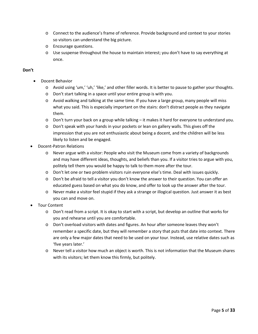- o Connect to the audience's frame of reference. Provide background and context to your stories so visitors can understand the big picture.
- o Encourage questions.
- o Use suspense throughout the house to maintain interest; you don't have to say everything at once.

### **Don't**

- Docent Behavior
	- o Avoid using 'um,' 'uh,' 'like,' and other filler words. It is better to pause to gather your thoughts.
	- o Don't start talking in a space until your entire group is with you.
	- o Avoid walking and talking at the same time. If you have a large group, many people will miss what you said. This is especially important on the stairs: don't distract people as they navigate them.
	- o Don't turn your back on a group while talking it makes it hard for everyone to understand you.
	- o Don't speak with your hands in your pockets or lean on gallery walls. This gives off the impression that you are not enthusiastic about being a docent, and the children will be less likely to listen and be engaged.
- Docent-Patron Relations
	- o Never argue with a visitor: People who visit the Museum come from a variety of backgrounds and may have different ideas, thoughts, and beliefs than you. If a visitor tries to argue with you, politely tell them you would be happy to talk to them more after the tour.
	- o Don't let one or two problem visitors ruin everyone else's time. Deal with issues quickly.
	- o Don't be afraid to tell a visitor you don't know the answer to their question. You can offer an educated guess based on what you do know, and offer to look up the answer after the tour.
	- $\circ$  Never make a visitor feel stupid if they ask a strange or illogical question. Just answer it as best you can and move on.
- Tour Content
	- o Don't read from a script. It is okay to start with a script, but develop an outline that works for you and rehearse until you are comfortable.
	- o Don't overload visitors with dates and figures. An hour after someone leaves they won't remember a specific date, but they will remember a story that puts that date into context. There are only a few major dates that need to be used on your tour. Instead, use relative dates such as 'five years later.'
	- o Never tell a visitor how much an object is worth. This is not information that the Museum shares with its visitors; let them know this firmly, but politely.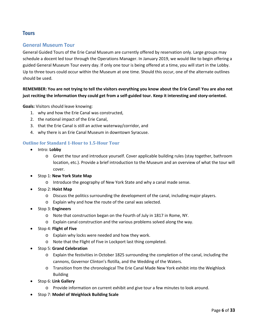# <span id="page-6-0"></span>**Tours**

# <span id="page-6-1"></span>General Museum Tour

General Guided Tours of the Erie Canal Museum are currently offered by reservation only. Large groups may schedule a docent led tour through the Operations Manager. In January 2019, we would like to begin offering a guided General Museum Tour every day. If only one tour is being offered at a time, you will start in the Lobby. Up to three tours could occur within the Museum at one time. Should this occur, one of the alternate outlines should be used.

### **REMEMBER: You are not trying to tell the visitors everything you know about the Erie Canal! You are also not just reciting the information they could get from a self-guided tour. Keep it interesting and story-oriented.**

**Goals:** Visitors should leave knowing:

- 1. why and how the Erie Canal was constructed,
- 2. the national impact of the Erie Canal,
- 3. that the Erie Canal is still an active waterway/corridor, and
- 4. why there is an Erie Canal Museum in downtown Syracuse.

### <span id="page-6-2"></span>**Outline for Standard 1-Hour to 1.5-Hour Tour**

- Intro: **Lobby**
	- o Greet the tour and introduce yourself. Cover applicable building rules (stay together, bathroom location, etc.). Provide a brief introduction to the Museum and an overview of what the tour will cover.
- Stop 1: **New York State Map**
	- o Introduce the geography of New York State and why a canal made sense.
- Stop 2: **Hoist Map**
	- o Discuss the politics surrounding the development of the canal, including major players.
	- o Explain why and how the route of the canal was selected.
- Stop 3: **Engineers**
	- o Note that construction began on the Fourth of July in 1817 in Rome, NY.
	- o Explain canal construction and the various problems solved along the way.
- Stop 4: **Flight of Five**
	- o Explain why locks were needed and how they work.
	- o Note that the Flight of Five in Lockport last thing completed.
- Stop 5: **Grand Celebration**
	- o Explain the festivities in October 1825 surrounding the completion of the canal, including the cannons, Governor Clinton's flotilla, and the Wedding of the Waters.
	- o Transition from the chronological The Erie Canal Made New York exhibit into the Weighlock Building
- Stop 6: **Link Gallery**
	- o Provide information on current exhibit and give tour a few minutes to look around.
- Stop 7: **Model of Weighlock Building Scale**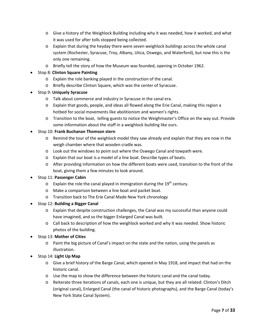- o Give a history of the Weighlock Building including why it was needed, how it worked, and what it was used for after tolls stopped being collected.
- o Explain that during the heyday there were seven weighlock buildings across the whole canal system (Rochester, Syracuse, Troy, Albany, Utica, Oswego, and Waterford), but now this is the only one remaining.
- o Briefly tell the story of how the Museum was founded, opening in October 1962.
- Stop 8: **Clinton Square Painting**
	- o Explain the role banking played in the construction of the canal.
	- o Briefly describe Clinton Square, which was the center of Syracuse.
- Stop 9: **Uniquely Syracuse**
	- o Talk about commerce and industry in Syracuse in the canal era.
	- o Explain that goods, people, and ideas all flowed along the Erie Canal, making this region a hotbed for social movements like abolitionism and women's rights.
	- o Transition to the boat, telling guests to notice the Weighmaster's Office on the way out. Provide some information about the staff in a weighlock building like ours.
- Stop 10: **Frank Buchanan Thomson stern**
	- o Remind the tour of the weighlock model they saw already and explain that they are now in the weigh chamber where that wooden cradle was.
	- o Look out the windows to point out where the Oswego Canal and towpath were.
	- o Explain that our boat is a model of a line boat. Describe types of boats.
	- o After providing information on how the different boats were used, transition to the front of the boat, giving them a few minutes to look around.
- Stop 11: **Passenger Cabin**
	- $\circ$  Explain the role the canal played in immigration during the 19<sup>th</sup> century.
	- o Make a comparison between a line boat and packet boat.
	- o Transition back to The Erie Canal Made New York chronology
- Stop 12: **Building a Bigger Canal**
	- o Explain that despite construction challenges, the Canal was my successful than anyone could have imagined, and so the bigger Enlarged Canal was built.
	- o Call back to description of how the weighlock worked and why it was needed. Show historic photos of the building.
- Stop 13: **Mother of Cities**
	- o Paint the big picture of Canal's impact on the state and the nation, using the panels as illustration.
- Stop 14: **Light Up Map**
	- o Give a brief history of the Barge Canal, which opened in May 1918, and impact that had on the historic canal.
	- o Use the map to show the difference between the historic canal and the canal today.
	- o Reiterate three iterations of canals, each one is unique, but they are all related: Clinton's Ditch (original canal), Enlarged Canal (the canal of historic photographs), and the Barge Canal (today's New York State Canal System).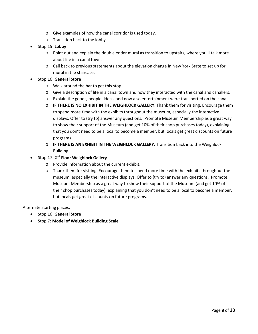- o Give examples of how the canal corridor is used today.
- o Transition back to the lobby
- Stop 15: **Lobby**
	- $\circ$  Point out and explain the double ender mural as transition to upstairs, where you'll talk more about life in a canal town.
	- o Call back to previous statements about the elevation change in New York State to set up for mural in the staircase.
- Stop 16: **General Store**
	- o Walk around the bar to get this stop.
	- o Give a description of life in a canal town and how they interacted with the canal and canallers.
	- o Explain the goods, people, ideas, and now also entertainment were transported on the canal.
	- o **IF THERE IS NO EXHIBIT IN THE WEIGHLOCK GALLERY**: Thank them for visiting. Encourage them to spend more time with the exhibits throughout the museum, especially the interactive displays. Offer to (try to) answer any questions. Promote Museum Membership as a great way to show their support of the Museum (and get 10% of their shop purchases today), explaining that you don't need to be a local to become a member, but locals get great discounts on future programs.
	- o **IF THERE IS AN EXHIBIT IN THE WEIGHLOCK GALLERY**: Transition back into the Weighlock Building.
- Stop 17: **2nd Floor Weighlock Gallery**
	- o Provide information about the current exhibit.
	- o Thank them for visiting. Encourage them to spend more time with the exhibits throughout the museum, especially the interactive displays. Offer to (try to) answer any questions. Promote Museum Membership as a great way to show their support of the Museum (and get 10% of their shop purchases today), explaining that you don't need to be a local to become a member, but locals get great discounts on future programs.

Alternate starting places:

- Stop 16: **General Store**
- Stop 7: **Model of Weighlock Building Scale**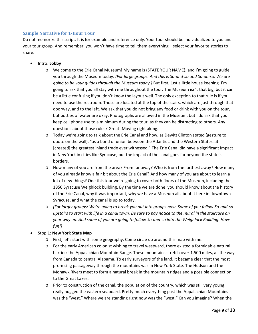### <span id="page-9-0"></span>**Sample Narrative for 1-Hour Tour**

Do not memorize this script. It is for example and reference only. Your tour should be individualized to you and your tour group. And remember, you won't have time to tell them everything – select your favorite stories to share.

- Intro: **Lobby**
	- o Welcome to the Erie Canal Museum! My name is (STATE YOUR NAME), and I'm going to guide you through the Museum today. *(For large groups: And this is So-and-so and So-an-so. We are going to be your guides through the Museum today.)* But first, just a little house keeping. I'm going to ask that you all stay with me throughout the tour. The Museum isn't that big, but it can be a little confusing if you don't know the layout well. The only exception to that rule is if you need to use the restroom. Those are located at the top of the stairs, which are just through that doorway, and to the left. We ask that you do not bring any food or drink with you on the tour, but bottles of water are okay. Photographs are allowed in the Museum, but I do ask that you keep cell phone use to a minimum during the tour, as they can be distracting to others. Any questions about those rules? Great! Moving right along.
	- o Today we're going to talk about the Erie Canal and how, as Dewitt Clinton stated (gesture to quote on the wall), "as a bond of union between the Atlantic and the Western States…it [created] the greatest inland trade ever witnessed." The Erie Canal did have a significant impact in New York in cities like Syracuse, but the impact of the canal goes far beyond the state's borders.
	- o How many of you are from the area? From far away? Who is from the farthest away? How many of you already know a fair bit about the Erie Canal? And how many of you are about to learn a lot of new things? One this tour we're going to cover both floors of the Museum, including the 1850 Syracuse Weighlock building. By the time we are done, you should know about the history of the Erie Canal, why it was important, why we have a Museum all about it here in downtown Syracuse, and what the canal is up to today.
	- o *(For larger groups: We're going to break you out into groups now. Some of you follow So-and-so upstairs to start with life in a canal town. Be sure to pay notice to the mural in the staircase on your way up. And some of you are going to follow So-and-so into the Weighlock Building. Have fun!)*

### • Stop 1: **New York State Map**

- o First, let's start with some geography. Come circle up around this map with me.
- o For the early American colonist wishing to travel westward, there existed a formidable natural barrier: the Appalachian Mountain Range. These mountains stretch over 1,500 miles, all the way from Canada to central Alabama. To early surveyors of the land, it became clear that the most promising passageway through the mountains was in New York State. The Hudson and the Mohawk Rivers meet to form a natural break in the mountain ridges and a possible connection to the Great Lakes.
- o Prior to construction of the canal, the population of the country, which was still very young, really hugged the eastern seaboard. Pretty much everything past the Appalachian Mountains was the "west." Where we are standing right now was the "west." Can you imagine? When the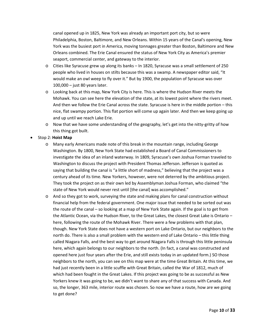canal opened up in 1825, New York was already an important port city, but so were Philadelphia, Boston, Baltimore, and New Orleans. Within 15 years of the Canal's opening, New York was the busiest port in America, moving tonnages greater than Boston, Baltimore and New Orleans combined. The Erie Canal ensured the status of New York City as America's premier seaport, commercial center, and gateway to the interior.

- o Cities like Syracuse grew up along its banks In 1820, Syracuse was a small settlement of 250 people who lived in houses on stilts because this was a swamp. A newspaper editor said, "It would make an owl weep to fly over it." But by 1900, the population of Syracuse was over 100,000 – just 80 years later.
- o Looking back at this map, New York City is here. This is where the Hudson River meets the Mohawk. You can see here the elevation of the state, at its lowest point where the rivers meet. And then we follow the Erie Canal across the state. Syracuse is here in the middle portion – this nice, flat swampy portion. This flat portion will come up again later. And then we keep going up and up until we reach Lake Erie.
- $\circ$  Now that we have some understanding of the geography, let's get into the nitty-gritty of how this thing got built.
- Stop 2: **Hoist Map**
	- o Many early Americans made note of this break in the mountain range, including George Washington. By 1800, New York State had established a Board of Canal Commissioners to investigate the idea of an inland waterway. In 1809, Syracuse's own Joshua Forman traveled to Washington to discuss the project with President Thomas Jefferson. Jefferson is quoted as saying that building the canal is "a little short of madness," believing that the project was a century ahead of its time. New Yorkers, however, were not deterred by the ambitious project. They took the project on as their own led by Assemblyman Joshua Forman, who claimed "the state of New York would never rest until [the canal] was accomplished."
	- o And so they got to work, surveying the state and making plans for canal construction without financial help from the federal government. One major issue that needed to be sorted out was the route of the canal – so looking at a map of New York State again. If the goal is to get from the Atlantic Ocean, via the Hudson River, to the Great Lakes, the closest Great Lake is Ontario – here, following the route of the Mohawk River. There were a few problems with that plan, though. New York State does not have a western port on Lake Ontario, but our neighbors to the north do. There is also a small problem with the western end of Lake Ontario – this little thing called Niagara Falls, and the best way to get around Niagara Falls is through this little peninsula here, which again belongs to our neighbors to the north. (In fact, a canal was constructed and opened here just four years after the Erie, and still exists today in an updated form.) SO those neighbors to the north, you can see on this map were at the time Great Britain. At this time, we had just recently been in a little scuffle with Great Britain, called the War of 1812, much of which had been fought in the Great Lakes. If this project was going to be as successful as New Yorkers knew it was going to be, we didn't want to share any of that success with Canada. And so, the longer, 363 mile, interior route was chosen. So now we have a route, how are we going to get done?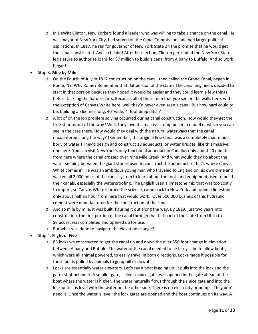- o In DeWitt Clinton, New Yorkers found a leader who was willing to take a chance on the canal. He was mayor of New York City, had served on the Canal Commission, and had larger political aspirations. In 1817, he ran for governor of New York State on the promise that he would get the canal constructed. And so he did! After his election, Clinton persuaded the New York State legislature to authorize loans for \$7 million to build a canal from Albany to Buffalo. And so work began!
- Stop 3: **Mile by Mile**
	- o On the Fourth of July in 1817 construction on the canal, then called the Grand Canal, began in Rome, NY. Why Rome? Remember that flat portion of the state? The canal engineers decided to start in that portion because they hoped it would be easier and they could learn a few things before tackling the harder parts. Because, all of these men that you see on the walls here, with the exception of Canvas White here, well they'd never even seen a canal. But how hard could to be, building a 363 mile long, 40' wide, 4' foot deep ditch?
	- o A lot of on the job problem solving occurred during canal construction. How would they get the tree stumps out of the way? Well, they invent a massive stump puller, a model of which you can see in the case there. How would they deal with the natural waterways that the canal encountered along the way? (Remember, the original Erie Canal was a completely man-made body of water.) They'd design and construct 18 aqueducts, or water bridges, like this massive one here. You can visit New York's only functional aqueduct in Camillus only about 20 minutes from here where the canal crossed over Nine Mile Creek. And what would they do about the water seeping between the giant stones used to construct the aqueducts? That's where Canvas White comes in. He was an ambitious young man who traveled to England on his own dime and walked all 2,000 miles of the canal system to learn about the tools and equipment used to build their canals, especially the waterproofing. The English used a limestone mix that was too costly to import, so Canvas White learned the science, came back to New York and found a limestone only about half an hour from here that would work. Over 500,000 bushels of this hydraulic cement were manufactured for the construction of the canal.
	- o And so mile by mile, it was built, figuring it out along the way. By 1819, just two years into construction, the first portion of the canal through that flat part of the state from Utica to Syracuse, was completed and opened up for use.
	- o But what was done to navigate the elevation change?

### • Stop 4: **Flight of Five**

- o 83 locks we constructed to get the canal up and down the over 550 foot change in elevation between Albany and Buffalo. The water of the canal needed to be fairly calm to allow boats, which were all animal powered, to easily travel in both directions. Locks made it possible for these boats pulled by animals to go uphill or downhill.
- o Locks are essentially water elevators. Let's say a boat is going up. It pulls into the lock and the gates shut behind it. A smaller gate, called a sluice gate, was opened in the gate ahead of the boat where the water is higher. The water naturally flows through the sluice gate and into the lock until it is level with the water on the other side. There is no electricity or pumps. They don't need it. Once the water is level, the lock gates are opened and the boat continues on its way. A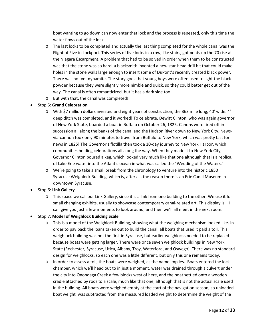boat wanting to go down can now enter that lock and the process is repeated, only this time the water flows out of the lock.

- o The last locks to be completed and actually the last thing completed for the whole canal was the Flight of Five in Lockport. This series of five locks in a row, like stairs, got boats up the 70 rise at the Niagara Escarpment. A problem that had to be solved in order when them to be constructed was that the stone was so hard, a blacksmith invented a new star-head drill bit that could make holes in the stone walls large enough to insert some of DuPont's recently created black power. There was not yet dynamite. The story goes that young boys were often used to light the black powder because they were slightly more nimble and quick, so they could better get out of the way. The canal is often romanticized, but it has a dark side too.
- o But with that, the canal was completed!
- Stop 5: **Grand Celebration**
	- o With \$7 million dollars invested and eight years of construction, the 363 mile long, 40' wide. 4' deep ditch was completed, and it worked! To celebrate, Dewitt Clinton, who was again governor of New York State, boarded a boat in Buffalo on October 26, 1825. Canons were fired off in succession all along the banks of the canal and the Hudson River down to New York City. Newsvia-cannon took only 90 minutes to travel from Buffalo to New York, which was pretty fast for news in 1825! The Governor's flotilla then took a 10-day journey to New York Harbor, which communities holding celebrations all along the way. When they made it to New York City, Governor Clinton poured a keg, which looked very much like that one although that is a replica, of Lake Erie water into the Atlantic ocean in what was called the "Wedding of the Waters."
	- o We're going to take a small break from the chronology to venture into the historic 1850 Syracuse Weighlock Building, which is, after all, the reason there is an Erie Canal Museum in downtown Syracuse.
- Stop 6: **Link Gallery**
	- o This space we call our Link Gallery, since it is a link from one building to the other. We use it for small changing exhibits, usually to showcase contemporary canal-related art. This display is… I can give you just a few moments to look around, and then we'll all meet in the next room.
- Stop 7: **Model of Weighlock Building Scale**
	- o This is a model of the Weighlock Building, showing what the weighing mechanism looked like. In order to pay back the loans taken out to build the canal, all boats that used it paid a toll. This weighlock building was not the first in Syracuse, but earlier weighlocks needed to be replaced because boats were getting larger. There were once seven weighlock buildings in New York State (Rochester, Syracuse, Utica, Albany, Troy, Waterford, and Oswego). There was no standard design for weighlocks, so each one was a little different, but only this one remains today.
	- o In order to assess a toll, the boats were weighed, as the name implies. Boats entered the lock chamber, which we'll head out to in just a moment, water was drained through a culvert under the city into Onondaga Creek a few blocks west of here, and the boat settled onto a wooden cradle attached by rods to a scale, much like that one, although that is not the actual scale used in the building. All boats were weighed empty at the start of the navigation season, so unloaded boat weight was subtracted from the measured loaded weight to determine the weight of the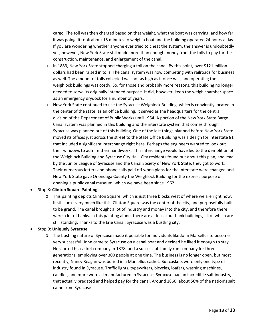cargo. The toll was then charged based on that weight, what the boat was carrying, and how far it was going. It took about 15 minutes to weigh a boat and the building operated 24 hours a day. If you are wondering whether anyone ever tried to cheat the system, the answer is undoubtedly yes, however, New York State still made more than enough money from the tolls to pay for the construction, maintenance, and enlargement of the canal.

- o In 1883, New York State stopped charging a toll on the canal. By this point, over \$121 million dollars had been raised in tolls. The canal system was now competing with railroads for business as well. The amount of tolls collected was not as high as it once was, and operating the weighlock buildings was costly. So, for those and probably more reasons, this building no longer needed to serve its originally intended purpose. It did, however, keep the weigh chamber space as an emergency drydock for a number of years.
- o New York State continued to use the Syracuse Weighlock Building, which is conviently located in the center of the state, as an office building. It served as the headquarters for the central division of the Department of Public Works until 1954. A portion of the New York State Barge Canal system was planned in this building and the interstate system that comes through Syracuse was planned out of this building. One of the last things planned before New York State moved its offices just across the street to the State Office Building was a design for interstate 81 that included a significant interchange right here. Perhaps the engineers wanted to look out their windows to admire their handiwork. This interchange would have led to the demolition of the Weighlock Building and Syracuse City Hall. City residents found out about this plan, and lead by the Junior League of Syracuse and the Canal Society of New York State, they got to work. Their numerous letters and phone calls paid off when plans for the interstate were changed and New York State gave Onondaga County the Weighlock Building for the express purpose of opening a public canal museum, which we have been since 1962.

### • Stop 8: **Clinton Square Painting**

o This painting depicts Clinton Square, which is just three blocks west of where we are right now. It still looks very much like this. Clinton Square was the center of the city, and purposefully built to be grand. The canal brought a lot of industry and money into the city, and therefore there were a lot of banks. In this painting alone, there are at least four bank buildings, all of which are still standing. Thanks to the Erie Canal, Syracuse was a bustling city.

### • Stop 9: **Uniquely Syracuse**

o The bustling nature of Syracuse made it possible for individuals like John Marsellus to become very successful. John came to Syracuse on a canal boat and decided he liked it enough to stay. He started his casket company in 1878, and a successful family run company for three generations, employing over 300 people at one time. The business is no longer open, but most recently, Nancy Reagan was buried in a Marsellus casket. But caskets were only one type of industry found in Syracuse. Traffic lights, typewriters, bicycles, loafers, washing machines, candles, and more were all manufactured in Syracuse. Syracuse had an incredible salt industry, that actually predated and helped pay for the canal. Around 1860, about 50% of the nation's salt came from Syracuse!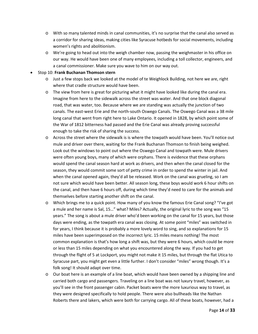- o With so many talented minds in canal communities, it's no surprise that the canal also served as a corridor for sharing ideas, making cities like Syracuse hotbeds for social movements, including women's rights and abolitionism.
- o We're going to head out into the weigh chamber now, passing the weighmaster in his office on our way. He would have been one of many employees, including a toll collector, engineers, and a canal commissioner. Make sure you wave to him on our way out.

### • Stop 10: **Frank Buchanan Thomson stern**

- o Just a few stops back we looked at the model of te Weighlock Building, not here we are, right where that cradle structure would have been.
- o The view from here is great for picturing what it might have looked like during the canal era. Imagine from here to the sidewalk across the street was water. And that one block diagonal road, that was water, too. Because where we are standing was actually the junction of two canals. The east-west Erie and the north-south Oswego Canals. The Oswego Canal was a 38 mile long canal that went from right here to Lake Ontario. It opened in 1828, by which point some of the War of 1812 bitterness had passed and the Erie Canal was already proving successful enough to take the risk of sharing the success.
- o Across the street where the sidewalk is is where the towpath would have been. You'll notice out mule and driver over there, waiting for the Frank Buchanan Thomson to finish being weighed. Look out the windows to point out where the Oswego Canal and towpath were. Mule drivers were often young boys, many of which were orphans. There is evidence that these orphans would spend the canal season hard at work as drivers, and then when the canal closed for the season, they would commit some sort of petty crime in order to spend the winter in jail. And when the canal opened again, they'd all be released. Work on the canal was grueling, so I am not sure which would have been better. All season long, these boys would work 6 hour shifts on the canal, and then have 6 hours off, during which time they'd need to care for the animals and themselves before starting another shift on the canal.
- o Which brings me to a quick point. How many of you know the famous Erie Canal song? "I've got a mule and her name is Sal, 15…" what? Miles? Actually, the original lyric to the song was "15 years." The song is about a mule driver who'd been working on the canal for 15 years, but those days were ending, as the towpath era canal was closing. At some point "miles" was switched in for years, I think because it is probably a more lovely word to sing, and so explanations for 15 miles have been superimposed on the incorrect lyric. 15 miles means nothing! The most common explanation is that's how long a shift was, but they were 6 hours, which could be more or less than 15 miles depending on what you encountered along the way. If you had to get through the flight of 5 at Lockport, you might not make it 15 miles, but through the flat Utica to Syracuse part, you might get even a little further. I don't consider "miles" wrong though. It's a folk song! It should adapt over time.
- o Our boat here is an example of a line boat, which would have been owned by a shipping line and carried both cargo and passengers. Traveling on a line boat was not luxury travel, however, as you'll see in the front passenger cabin. Packet boats were the more luxurious way to travel, as they were designed specifically to hold people. There were also bullheads like the Nathan Roberts there and lakers, which were both for carrying cargo. All of these boats, however, had a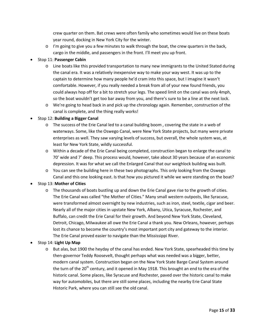crew quarter on them. Bat crews were often family who sometimes would live on these boats year round, docking in New York City for the winter.

 $\circ$  I'm going to give you a few minutes to walk through the boat, the crew quarters in the back, cargo in the middle, and passengers in the front. I'll meet you up front.

### • Stop 11: **Passenger Cabin**

- o Line boats like this provided transportation to many new immigrants to the United Stated during the canal era. It was a relatively inexpensive way to make your way west. It was up to the captain to determine how many people he'd cram into this space, but I imagine it wasn't comfortable. However, if you really needed a break from all of your new found friends, you could always hop off for a bit to stretch your legs. The speed limit on the canal was only 4mph, so the boat wouldn't get too bar away from you, and there's sure to be a line at the next lock.
- o We're going to head back in and pick up the chronology again. Remember, construction of the canal is complete, and the thing really works!

### • Stop 12: **Building a Bigger Canal**

- o The success of the Erie Canal led to a canal building boom , covering the state in a web of waterways. Some, like the Oswego Canal, were New York State projects, but many were private enterprises as well. They saw varying levels of success, but overall, the whole system was, at least for New York State, wildly successful.
- o Within a decade of the Erie Canal being completed, construction began to enlarge the canal to 70' wide and 7' deep. This process would, however, take about 30 years because of an economic depression. It was for what we call the Enlarged Canal that our weighlock building was built.
- o You can see the building here in these two photographs. This only looking from the Oswego Canal and this one looking east. Is that how you pictured it while we were standing on the boat?

### • Stop 13: **Mother of Cities**

o The thousands of boats bustling up and down the Erie Canal gave rise to the growth of cities. The Erie Canal was called "the Mother of Cities." Many small western outposts, like Syracuse, were transformed almost overnight by new industries, such as iron, steel, textile, cigar and beer. Nearly all of the major cities in upstate New York, Albany, Utica, Syracuse, Rochester, and Buffalo, can credit the Erie Canal for their growth. And beyond New York State, Cleveland, Detroit, Chicago, Milwaukee all owe the Erie Canal a thank you. New Orleans, however, perhaps lost its chance to become the country's most important port city and gateway to the interior. The Erie Canal proved easier to navigate than the Mississippi River.

### • Stop 14: **Light Up Map**

o But alas, but 1900 the heyday of the canal has ended. New York State, spearheaded this time by then-governor Teddy Roosevelt, thought perhaps what was needed was a bigger, better, modern canal system. Construction began on the New York State Barge Canal System around the turn of the 20<sup>th</sup> century, and it opened in May 1918. This brought an end to the era of the historic canal. Some places, like Syracuse and Rochester, paved over the historic canal to make way for automobiles, but there are still some places, including the nearby Erie Canal State Historic Park, where you can still see the old canal.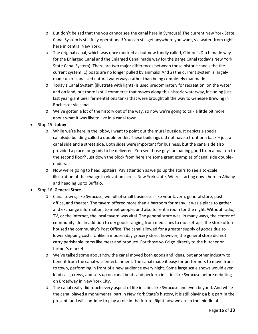- o But don't be sad that the you cannot see the canal here in Syracuse! The current New York State Canal System is still fully operational! You can still get anywhere you want, via water, from right here in central New York.
- o The original canal, which was once mocked as but now fondly called, Clinton's Ditch made way for the Enlarged Canal and the Enlarged Canal made way for the Barge Canal (today's New York State Canal System). There are two major differences between those historic canals the the current system: 1) boats are no longer pulled by animals! And 2) the current system is largely made up of canalized natural waterways rather than being completely manmade.
- o Today's Canal System (illustrate with lights) is used predominately for recreation, on the water and on land, but there is still commerce that moves along this historic waterway, including just last year giant beer fermentations tanks that were brought all the way to Genesee Brewing in Rochester via canal.
- o We've gotten a lot of the history out of the way, so now we're going to talk a little bit more about what it was like to live in a canal town.
- Stop 15: **Lobby**
	- o While we're here in the lobby, I want to point out the mural outside. It depicts a special canalside building called a double-ender. These buildings did not have a front or a back – just a canal side and a street side. Both sides were important for business, but the canal side also provided a place for goods to be delivered. You see those guys unloading good from a boat on to the second floor? Just down the block from here are some great examples of canal side doubleenders.
	- o Now we're going to head upstairs. Pay attention as we go up the stairs to see a to-scale illustration of the change in elevation across New York state. We're starting down here in Albany and heading up to Buffalo.
- Stop 16: **General Store**
	- o Canal towns, like Syracuse, we full of small businesses like your tavern, general store, post office, and theater. The tavern offered more than a barroom for many. It was a place to gather and exchange information, to meet people, and also to rent a room for the night. Without radio, TV, or the internet, the local tavern was vital. The general store was, in many ways, the center of community life. In addition to dry goods ranging from medicines to mousetraps, the store often housed the community's Post Office. The canal allowed for a greater supply of goods due to lower shipping costs. Unlike a modern day grocery store, however, the general store did not carry perishable items like meat and produce. For those you'd go directly to the butcher or farmer's market.
	- o We've talked some about how the canal moved both goods and ideas, but another industry to benefit from the canal was entertainment. The canal made it easy for performers to move from to town, performing in front of a new audience every night. Some large scale shows would even load cast, crews, and sets up on canal boats and perform in cities like Syracuse before debuting on Broadway in New York City.
	- o The canal really did touch every aspect of life in cities like Syracuse and even beyond. And while the canal played a monumental part in New York State's history, it is still playing a big part in the present, and will continue to play a role in the future. Right now we are in the middle of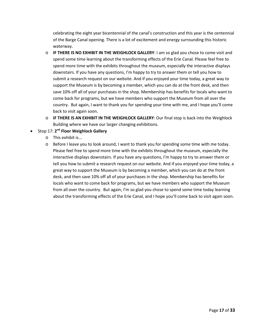celebrating the eight year bicentennial of the canal's construction and this year is the centennial of the Barge Canal opening. There is a lot of excitement and energy surrounding this historic waterway.

- o **IF THERE IS NO EXHIBIT IN THE WEIGHLOCK GALLERY**: I am so glad you chose to come visit and spend some time learning about the transforming effects of the Erie Canal. Please feel free to spend more time with the exhibits throughout the museum, especially the interactive displays downstairs. If you have any questions, I'm happy to try to answer them or tell you how to submit a research request on our website. And if you enjoyed your time today, a great way to support the Museum is by becoming a member, which you can do at the front desk, and then save 10% off all of your purchases in the shop. Membership has benefits for locals who want to come back for programs, but we have members who support the Museum from all over the country. But again, I want to thank you for spending your time with me, and I hope you'll come back to visit again soon.
- o **IF THERE IS AN EXHIBIT IN THE WEIGHLOCK GALLERY**: Our final stop is back into the Weighlock Building where we have our larger changing exhibitions.
- Stop 17: **2nd Floor Weighlock Gallery**
	- o This exhibit is...
	- o Before I leave you to look around, I want to thank you for spending some time with me today. Please feel free to spend more time with the exhibits throughout the museum, especially the interactive displays downstairs. If you have any questions, I'm happy to try to answer them or tell you how to submit a research request on our website. And if you enjoyed your time today, a great way to support the Museum is by becoming a member, which you can do at the front desk, and then save 10% off all of your purchases in the shop. Membership has benefits for locals who want to come back for programs, but we have members who support the Museum from all over the country. But again, I'm so glad you chose to spend some time today learning about the transforming effects of the Erie Canal, and I hope you'll come back to visit again soon.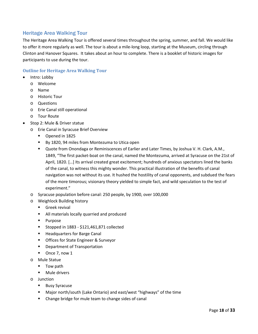# <span id="page-18-0"></span>Heritage Area Walking Tour

The Heritage Area Walking Tour is offered several times throughout the spring, summer, and fall. We would like to offer it more regularly as well. The tour is about a mile-long loop, starting at the Museum, circling through Clinton and Hanover Squares. It takes about an hour to complete. There is a booklet of historic images for participants to use during the tour.

### <span id="page-18-1"></span>**Outline for Heritage Area Walking Tour**

- Intro: Lobby
	- o Welcome
	- o Name
	- o Historic Tour
	- o Questions
	- o Erie Canal still operational
	- o Tour Route
- Stop 2: Mule & Driver statue
	- o Erie Canal in Syracuse Brief Overview
		- **Dened in 1825**
		- By 1820, 94 miles from Montezuma to Utica open
		- Quote from Onondaga or Reminiscences of Earlier and Later Times, by Joshua V. H. Clark, A.M., 1849, "The first packet-boat on the canal, named the Montezuma, arrived at Syracuse on the 21st of April, 1820. […] Its arrival created great excitement; hundreds of anxious spectators lined the banks of the canal, to witness this mighty wonder. This practical illustration of the benefits of canal navigation was not without its use. It hushed the hostility of canal opponents, and subdued the fears of the more timorous; visionary theory yielded to simple fact, and wild speculation to the test of experiment."
	- o Syracuse population before canal: 250 people, by 1900, over 100,000
	- o Weighlock Building history
		- Greek revival
		- **All materials locally quarried and produced**
		- **Purpose**
		- Stopped in  $1883 $121,461,871$  collected
		- **Headquarters for Barge Canal**
		- **Deap Form State Engineer & Surveyor**
		- **•** Department of Transportation
		- Once 7, now 1
	- o Mule Statue
		- Tow path
		- **Mule drivers**
	- o Junction
		- **Busy Syracuse**
		- Major north/south {Lake Ontario} and east/west "highways" of the time
		- **EXECH** Change bridge for mule team to change sides of canal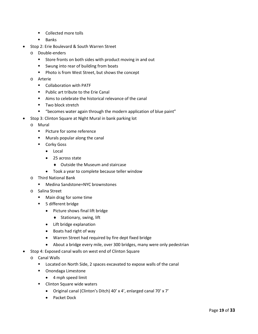- Collected more tolls
- **Banks**
- Stop 2: Erie Boulevard & South Warren Street
	- o Double-enders
		- **Store fronts on both sides with product moving in and out**
		- **Swung into rear of building from boats**
		- **Photo is from West Street, but shows the concept**
	- o Arterie
		- Collaboration with PATF
		- **Public art tribute to the Erie Canal**
		- Aims to celebrate the historical relevance of the canal
		- **Two block stretch**
		- "becomes water again through the modern application of blue paint"
- Stop 3: Clinton Square at Night Mural in bank parking lot
	- o Mural
		- **Picture for some reference**
		- **Murals popular along the canal**
		- **Corky Goss** 
			- Local
			- 25 across state
				- ♦ Outside the Museum and staircase
			- Took a year to complete because teller window
	- o Third National Bank
		- Medina Sandstone=NYC brownstones
	- o Salina Street
		- **Main drag for some time**
		- **5** different bridge
			- Picture shows final lift bridge
				- ♦ Stationary, swing, lift
			- Lift bridge explanation
			- Boats had right of way
			- Warren Street had required by fire dept fixed bridge
			- About a bridge every mile, over 300 bridges, many were only pedestrian
- Stop 4: Exposed canal walls on west end of Clinton Square
	- o Canal Walls
		- **Located on North Side, 2 spaces excavated to expose walls of the canal**
		- **•** Onondaga Limestone
			- 4 mph speed limit
		- Clinton Square wide waters
			- Original canal (Clinton's Ditch) 40' x 4', enlarged canal 70' x 7'
			- Packet Dock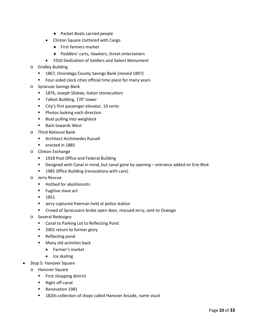- ♦ Packet Boats carried people
- Clinton Square cluttered with Cargo
	- ♦ First farmers market
	- ♦ Peddlers' carts, Hawkers, Street entertainers
- 1910 Dedication of Soldiers and Sailors Monument
- o Gridley Building
	- 1867, Onondaga County Savings Bank (moved 1897)
	- **Figur-sided clock cities official time piece for many years**
- o Syracuse Savings Bank
	- **1876, Joseph Silsbee, Italian stonecutters**
	- **Tallest Building, 170' tower**
	- City's first passenger elevator, 10 cents
	- **Photos looking each direction**
	- **Boat pulling into weighlock**
	- Back towards West
- o Third National Bank
	- **EXECUTE: Archimedes Russell**
	- **e** erected in 1885
- o Clinton Exchange
	- **1928 Post Office and Federal Building**
	- Designed with Canal in mind, but canal gone by opening entrance added on Erie Blvd.
	- **1985 Office Building (renovations with care)**
- o Jerry Rescue
	- **Hothed for abolitionists**
	- **Fugitive slave act**
	- $-1851$
	- **E** Jerry captured freeman held at police station
	- **EXP** Crowd of Syracusans broke open door, rescued Jerry, sent to Oswego
- o Several Redesigns
	- Canal to Parking Lot to Reflecting Pond
	- 2001 return to former glory
	- **Reflecting pond**
	- **Many old activities back** 
		- Farmer's market
		- Ice skating
- Stop 5: Hanover Square
- o Hanover Square
	- **First shopping district**
	- Right off canal
	- **Renovation 1981**
	- **1820s collection of shops called Hanover Arcade, name stuck**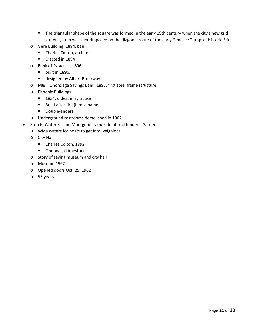- **The triangular shape of the square was formed in the early 19th century when the city's new grid** street system was superimposed on the diagonal route of the early Genesee Turnpike Historic Erie
- o Gere Building, 1894, bank
	- Charles Colton, architect
	- **Exected in 1894**
- o Bank of Syracuse, 1896
	- $\blacksquare$  built in 1896,
	- designed by Albert Brockway
- o M&T, Onondaga Savings Bank, 1897, first steel frame structure
- o Phoenix Buildings
	- 1834, oldest in Syracuse
	- Build after fire (hence name)
	- **-** Double-enders
- o Underground restrooms demolished in 1962
- Stop 6: Water St. and Montgomery outside of Locktender's Garden
	- o Wide waters for boats to get into weighlock
		- o City Hall
			- Charles Colton, 1892
			- **•** Onondaga Limestone
		- o Story of saving museum and city hall
		- o Museum 1962
		- o Opened doors Oct. 25, 1962
		- o 55 years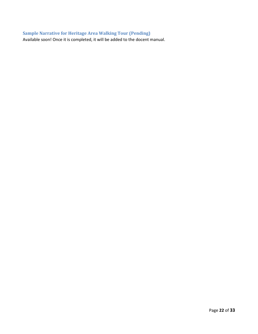# <span id="page-22-0"></span>**Sample Narrative for Heritage Area Walking Tour (Pending)**

Available soon! Once it is completed, it will be added to the docent manual.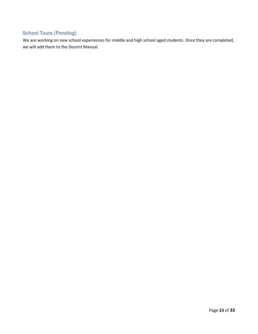# <span id="page-23-0"></span>School Tours (Pending)

We are working on new school experiences for middle and high school aged students. Once they are completed, we will add them to the Docent Manual.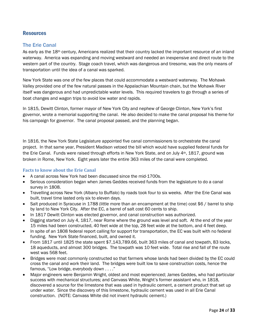# <span id="page-24-0"></span>**Resources**

## <span id="page-24-1"></span>The Erie Canal

As early as the 18<sup>th</sup> century, Americans realized that their country lacked the important resource of an inland waterway. America was expanding and moving westward and needed an inexpensive and direct route to the western part of the country. Stage coach travel, which was dangerous and tiresome, was the only means of transportation until the idea of a canal was sparked.

New York State was one of the few places that could accommodate a westward waterway. The Mohawk Valley provided one of the few natural passes in the Appalachian Mountain chain, but the Mohawk River itself was dangerous and had unpredictable water levels. This required travelers to go through a series of boat changes and wagon trips to avoid low water and rapids.

In 1815, Dewitt Clinton, former mayor of New York City and nephew of George Clinton, New York's first governor, wrote a memorial supporting the canal. He also decided to make the canal proposal his theme for his campaign for governor. The canal proposal passed, and the planning began.

In 1816, the New York State Legislature appointed five canal commissioners to orchestrate the canal project. In that same year, President Madison vetoed the bill which would have supplied federal funds for the Erie Canal. Funds were raised through efforts in New York State, and on July 4th, 1817, ground was broken in Rome, New York. Eight years later the entire 363 miles of the canal were completed.

### <span id="page-24-2"></span>**Facts to know about the Erie Canal**

- A canal across New York had been discussed since the mid-1700s.
- Serious consideration began when James Geddes received funds from the legislature to do a canal survey in 1808.
- Travelling across New York (Albany to Buffalo) by roads took four to six weeks. After the Erie Canal was built, travel time lasted only six to eleven days.
- Salt produced in Syracuse in 1788 (little more than an encampment at the time) cost \$6 / barrel to ship by land to New York City. After the EC, a barrel of salt cost 60 cents to ship.
- In 1817 Dewitt Clinton was elected governor, and canal construction was authorized.
- Digging started on July 4, 1817, near Rome where the ground was level and soft. At the end of the year 15 miles had been constructed, 40 feet wide at the top, 28 feet wide at the bottom, and 4 feet deep.
- In spite of an 1808 federal report calling for support for transportation, the EC was built with no federal funding. New York State financed, built, and owned it.
- From 1817 until 1825 the state spent \$7,143,789.66, built 363 miles of canal and towpath, 83 locks, 18 aqueducts, and almost 300 bridges. The towpath was 10 feet wide. Total rise and fall of the route west was 568 feet.
- Bridges were most commonly constructed so that farmers whose lands had been divided by the EC could cross the canal and work their land. The bridges were built low to save construction costs, hence the famous, "Low bridge, everybody down . . . ."
- Major engineers were Benjamin Wright, oldest and most experienced; James Geddes, who had particular success with mechanical structures; and Canvass White, Wright's former assistant who, in 1818, discovered a source for the limestone that was used in hydraulic cement, a cement product that set up under water. Since the discovery of this limestone, hydraulic cement was used in all Erie Canal construction. (NOTE: Canvass White did not invent hydraulic cement.)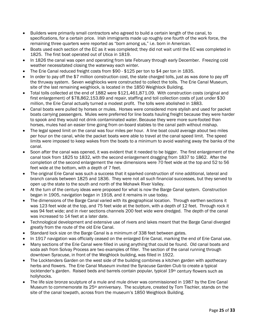- Builders were primarily small contractors who agreed to build a certain length of the canal, to specifications, for a certain price. Irish immigrants made up roughly one fourth of the work force, the remaining three quarters were reported as "born among us," i.e. born in American.
- Boats used each section of the EC as it was completed; they did not wait until the EC was completed in 1825. The first boat operated out of Utica in 1819.
- In 1826 the canal was open and operating from late February through early December. Freezing cold weather necessitated closing the waterway each winter.
- The Erie Canal reduced freight costs from \$90 \$125 per ton to \$4 per ton in 1835.
- In order to pay off the \$7 million construction cost, the state charged tolls, just as was done to pay off the thruway system. Seven weighlocks were constructed to collect the tolls. The Erie Canal Museum, site of the last remaining weighlock, is located in the 1850 Weighlock Building.
- Total tolls collected at the end of 1882 were \$121,461,871.09. With construction costs (original and first enlargement) of \$78,862,153.89 and repair, staffing and toll collection costs of just under \$30 million, the Erie Canal actually turned a modest profit. The tolls were abolished in 1883.
- Canal boats were pulled by horses or mules. Horses were considered more stylish and used for packet boats carrying passengers. Mules were preferred for line boats hauling freight because they were harder to spook and they would not drink contaminated water. Because they were more sure-footed than horses, mules had an easier time going from on-board stables to the canal path without mishap.
- The legal speed limit on the canal was four miles per hour. A line boat could average about two miles per hour on the canal, while the packet boats were able to travel at the canal speed limit. The speed limits were imposed to keep wakes from the boats to a minimum to avoid washing away the banks of the canal.
- Soon after the canal was opened, it was evident that it needed to be bigger. The first enlargement of the canal took from 1825 to 1832, with the second enlargement dragging from 1837 to 1862. After the completion of the second enlargement the new dimensions were 70 feet wide at the top and 52 to 56 feet wide at the bottom, with a depth of 7 feet.
- The original Erie Canal was such a success that it sparked construction of nine additional, lateral and branch canals between 1825 and 1836. They were not all such financial successes, but they served to open up the state to the south and north of the Mohawk River Valley.
- At the turn of the century ideas were proposed for what is now the Barge Canal system. Construction began in 1905, navigation began in 1918, and it remains in use today.
- The dimensions of the Barge Canal varied with its geographical location. Through earthen sections it was 123 feet wide at the top, and 75 feet wide at the bottom, with a depth of 12 feet. Through rock it was 94 feet wide; and in river sections channels 200 feet wide were dredged. The depth of the canal was increased to 14 feet at a later date.
- Technological development and extensive use of rivers and lakes meant that the Barge Canal diverged greatly from the route of the old Erie Canal.
- Standard lock size on the Barge Canal is a minimum of 338 feet between gates.
- In 1917 navigation was officially ceased on the enlarged Erie Canal, marking the end of Erie Canal use.
- Many sections of the Erie Canal were filled in using anything that could be found. Old canal boats and soda ash from Solvay Process are two examples of filler. The section of the canal running through downtown Syracuse, in front of the Weighlock building, was filled in 1922.
- The Locktenders Garden on the west side of the building combines a kitchen garden with apothecary herbs and flowers. The Erie Canal Museum invited the Syracuse Garden Club to create a typical locktender's garden. Raised beds and barrels contain popular, typical 19th century flowers such as hollyhocks.
- The life size bronze sculpture of a mule and mule driver was commissioned in 1987 by the Eire Canal Museum to commemorate its 25th anniversary. The sculpture, created by Tom Tischler, stands on the site of the canal towpath, across from the museum's 1850 Weighlock Building.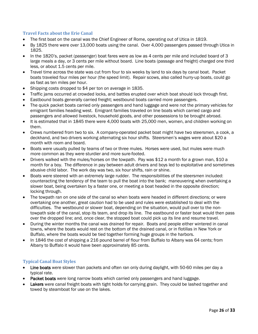### <span id="page-26-0"></span>**Travel Facts about the Erie Canal**

- The first boat on the canal was the Chief Engineer of Rome, operating out of Utica in 1819.
- By 1825 there were over 13,000 boats using the canal. Over 4,000 passengers passed through Utica in 1825.
- In the 1820's, packet (passenger) boat fares were as low as 4 cents per mile and included board of 3 large meals a day, or 3 cents per mile without board. Line boats (passage and freight) charged one third less, or about 1.5 cents per mile.
- Travel time across the state was cut from four to six weeks by land to six days by canal boat. Packet boats traveled four miles per hour (the speed limit). Repair scows, also called hurry-up boats, could go as fast as ten miles per hour.
- Shipping costs dropped to \$4 per ton on average in 1835.
- Traffic jams occurred at crowded locks, and battles erupted over which boat should lock through first.
- Eastbound boats generally carried freight; westbound boats carried more passengers.
- The quick packet boats carried only passengers and hand luggage and were not the primary vehicles for emigrant families heading west. Emigrant families traveled on line boats which carried cargo and passengers and allowed livestock, household goods, and other possessions to be brought abroad.
- It is estimated that in 1845 there were 4,000 boats with 25,000 men, women, and children working on them.
- Crews numbered from two to six. A company-operated packet boat might have two steersmen, a cook, a deckhand, and two drivers working alternating six hour shifts. Steersmen's wages were about \$20 a month with room and board.
- Boats were usually pulled by teams of two or three mules. Horses were used, but mules were much more common as they were sturdier and more sure-footed.
- Drivers walked with the mules/horses on the towpath. Pay was \$12 a month for a grown man, \$10 a month for a boy. The difference in pay between adult drivers and boys led to exploitative and sometimes abusive child labor. The work day was two, six hour shifts, rain or shine.
- Boats were steered with an extremely large rudder. The responsibilities of the steersmen included: counteracting the tendency of the team to pull the boat into the bank; maneuvering when overtaking a slower boat, being overtaken by a faster one, or meeting a boat headed in the opposite direction; locking through.
- The towpath ran on one side of the canal so when boats were headed in different directions; or were overtaking one another, great caution had to be used and rules were established to deal with the difficulties. The westbound or slower boat, depending on the situation, would pull over to the nontowpath side of the canal, stop its team, and drop its line. The eastbound or faster boat would then pass over the dropped line; and, once clear, the stopped boat could pick up its line and resume travel.
- During the winter months the canal was drained for repair. Boats and people either wintered in canal towns, where the boats would rest on the bottom of the drained canal, or in flotillas in New York or Buffalo, where the boats would be tied together forming huge groups in the harbors.
- In 1846 the cost of shipping a 216 pound barrel of flour from Buffalo to Albany was 64 cents; from Albany to Buffalo it would have been approximately 85 cents.

### <span id="page-26-1"></span>**Typical Canal Boat Styles**

- Line boats were slower than packets and often ran only during daylight, with 50-60 miles per day a typical rate.
- Packet boats were long narrow boats which carried only passengers and hand luggage.
- Lakers were canal freight boats with tight holds for carrying grain. They could be lashed together and towed by steamboat for use on the lakes.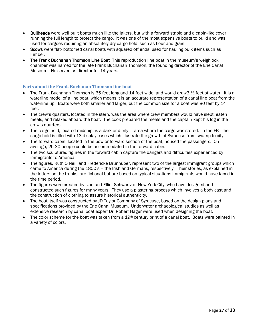- Bullheads were well built boats much like the lakers, but with a forward stable and a cabin-like cover running the full length to protect the cargo. It was one of the most expensive boats to build and was used for cargoes requiring an absolutely dry cargo hold, such as flour and grain.
- Scows were flat- bottomed canal boats with squared off ends, used for hauling bulk items such as lumber.
- The Frank Buchanan Thomson Line Boat This reproduction line boat in the museum's weighlock chamber was named for the late Frank Buchanan Thomson, the founding director of the Erie Canal Museum. He served as director for 14 years.

### <span id="page-27-0"></span>**Facts about the Frank Buchanan Thomson line boat**

- The Frank Buchanan Thomson is 65 feet long and 14 feet wide, and would draw3  $\frac{1}{2}$  feet of water. It is a waterline model of a line boat, which means it is an accurate representation of a canal line boat from the waterline up. Boats were both smaller and larger, but the common size for a boat was 80 feet by 14 feet.
- The crew's quarters, located in the stern, was the area where crew members would have slept, eaten meals, and relaxed aboard the boat. The cook prepared the meals and the captain kept his log in the crew's quarters.
- The cargo hold, located midship, is a dark or dimly lit area where the cargo was stored. In the FBT the cargo hold is filled with 13 display cases which illustrate the growth of Syracuse from swamp to city.
- The forward cabin, located in the bow or forward section of the boat, housed the passengers. On average, 25-30 people could be accommodated in the forward cabin.
- The two sculptured figures in the forward cabin capture the dangers and difficulties experienced by immigrants to America.
- The figures, Ruth O'Neill and Fredericke Brunhuber, represent two of the largest immigrant groups which came to America during the 1800's – the Irish and Germans, respectively. Their stories, as explained in the letters on the trunks, are fictional but are based on typical situations immigrants would have faced in the time period.
- The figures were created by Ivan and Elliot Schwartz of New York City, who have designed and constructed such figures for many years. They use a plastering process which involves a body cast and the construction of clothing to assure historical authenticity.
- The boat itself was constructed by JD Taylor Company of Syracuse, based on the design plans and specifications provided by the Erie Canal Museum. Underwater archaeological studies as well as extensive research by canal boat expert Dr. Robert Hager were used when designing the boat.
- The color scheme for the boat was taken from a  $19<sup>th</sup>$  century print of a canal boat. Boats were painted in a variety of colors.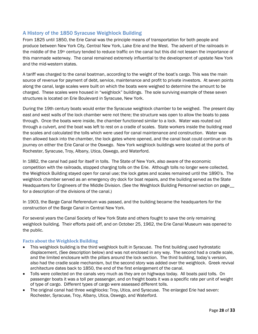# <span id="page-28-0"></span>A History of the 1850 Syracuse Weighlock Building

From 1825 until 1850, the Erie Canal was the principle means of transportation for both people and produce between New York City, Central New York, Lake Erie and the West. The advent of the railroads in the middle of the 19th century tended to reduce traffic on the canal but this did not lessen the importance of this manmade waterway. The canal remained extremely influential to the development of upstate New York and the mid-western states.

A tariff was charged to the canal boatman, according to the weight of the boat's cargo. This was the main source of revenue for payment of debt, service, maintenance and profit to private investors. At seven points along the canal, large scales were built on which the boats were weighed to determine the amount to be charged. These scales were housed in "weighlock" buildings. The sole surviving example of these seven structures is located on Erie Boulevard in Syracuse, New York.

During the 19th century boats would enter the Syracuse weighlock chamber to be weighed. The present day east and west walls of the lock chamber were not there; the structure was open to allow the boats to pass through. Once the boats were inside, the chamber functioned similar to a lock. Water was routed out through a culvert, and the boat was left to rest on a cradle of scales. State workers inside the building read the scales and calculated the tolls which were used for canal maintenance and construction. Water was then allowed back into the chamber, the lock gates where opened, and the canal boat could continue on its journey on either the Erie Canal or the Oswego. New York weighlock buildings were located at the ports of Rochester, Syracuse, Troy, Albany, Utica, Oswego, and Waterford.

In 1882, the canal had paid for itself in tolls. The State of New York, also aware of the economic competition with the railroads, stopped charging tolls on the Erie. Although tolls no longer were collected, the Weighlock Building stayed open for canal use; the lock gates and scales remained until the 1890's. The weighlock chamber served as an emergency dry dock for boat repairs, and the building served as the State Headquarters for Engineers of the Middle Division. (See the Weighlock Building Personnel section on page\_ for a description of the divisions of the canal.)

In 1903, the Barge Canal Referendum was passed, and the building became the headquarters for the construction of the Barge Canal in Central New York.

For several years the Canal Society of New York State and others fought to save the only remaining weighlock building. Their efforts paid off, and on October 25, 1962, the Erie Canal Museum was opened to the public.

### <span id="page-28-1"></span>**Facts about the Weighlock Building**

- This weighlock building is the third weighlock built in Syracuse. The first building used hydrostatic displacement, (See description below) and was not enclosed in any way. The second had a cradle scale, and the limited enclosure with the pillars around the lock section. The third building, today's version, also had the cradle scale mechanism, but the second story was added over the weighlock. Greek revival architecture dates back to 1850, the end of the first enlargement of the canal.
- Tolls were collected on the canals very much as they are on highways today. All boats paid tolls. On passenger boats it was a toll per passenger, and on freight boats it was a specific rate per unit of weight of type of cargo. Different types of cargo were assessed different tolls.
- The original canal had three weighlocks: Troy, Utica, and Syracuse. The enlarged Erie had seven: Rochester, Syracuse, Troy, Albany, Utica, Oswego, and Waterford.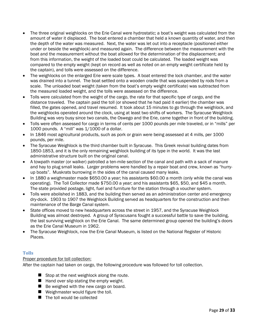- The three original weighlocks on the Erie Canal were hydrostatic; a boat's weight was calculated from the amount of water it displaced. The boat entered a chamber that held a known quantity of water, and then the depth of the water was measured. Next, the water was let out into a receptacle (positioned either under or beside the weighlock) and measured again. The difference between the measurement with the boat and the measurement without the boat allowed for the determination of the displacement; and from this information, the weight of the loaded boat could be calculated. The loaded weight was compared to the empty weight (kept on record as well as noted on an empty weight certificate held by the captain), and tolls were assessed on the difference.
- The weighlocks on the enlarged Erie were scale types. A boat entered the lock chamber, and the water was drained into a tunnel. The boat settled onto a wooden cradle that was suspended by rods from a scale. The unloaded boat weight (taken from the boat's empty weight certificate) was subtracted from the measured loaded weight, and the tolls were assessed on the difference.
- Tolls were calculated from the weight of the cargo, the rate for that specific type of cargo, and the distance traveled. The captain paid the toll (or showed that he had paid it earlier) the chamber was filled, the gates opened, and travel resumed. It took about 15 minutes to go through the weighlock, and the weighlocks operated around the clock, using at least two shifts of workers. The Syracuse Weighlock Building was very busy since two canals, the Oswego and the Erie, came together in front of the building.
- Tolls were often assessed for cargo in terms of cents per 1000 pounds per mile traveled, or in "mills" per 1000 pounds. A "mill" was 1/1000 of a dollar.
- In 1846 most agricultural products, such as pork or grain were being assessed at 4 mills, per 1000 pounds, per mile.
- The Syracuse Weighlock is the third chamber built in Syracuse. This Greek revival building dates from 1850-1853, and it is the only remaining weighlock building of its type in the world. It was the last administrative structure built on the original canal.
- A towpath master (or walker) patrolled a ten-mile section of the canal and path with a sack of manure and hay to plug small leaks. Larger problems were handled by a repair boat and crew, known as "hurryup boats". Muskrats burrowing in the sides of the canal caused many leaks.
- In 1880 a weighmaster made \$650.00 a year; his assistants \$60.00 a month (only while the canal was operating). The Toll Collector made \$750.00 a year; and his assistants \$65, \$50, and \$45 a month. The state provided postage, light, fuel and furniture for the station through a voucher system.
- Tolls were abolished in 1883, and the building then served as an administration center and emergency dry-dock. 1903 to 1907 the Weighlock Building served as headquarters for the construction and then maintenance of the Barge Canal system.
- State offices moved to new headquarters across the street in 1957, and the Syracuse Weighlock Building was almost destroyed. A group of Syracusans fought a successful battle to save the building, the last surviving weighlock on the Erie Canal. The same determined group opened the building's doors as the Erie Canal Museum in 1962.
- The Syracuse Weighlock, now the Erie Canal Museum, is listed on the National Register of Historic Places.

# <span id="page-29-0"></span>**Tolls**

Proper procedure for toll collection:

After the captain had taken on cargo, the following procedure was followed for toll collection.

- $\blacksquare$  Stop at the next weighlock along the route.
- $\blacksquare$  Hand over slip stating the empty weight.
- Be weighed with the new cargo on board.
- Weighmaster would figure the toll.
- The toll would be collected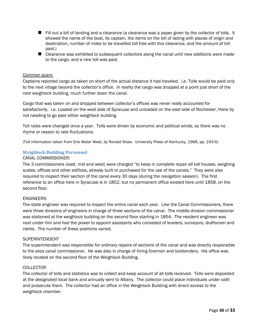- **Fill out a bill of landing and a clearance (a clearance was a paper given by the collector of tolls. It** showed the name of the boat, its captain, the items on the bill of lading with places of origin and destination, number of miles to be travelled toll free with this clearance, and the amount of toll paid.)
- Clearance was exhibited to subsequent collectors along the canal until new additions were made to the cargo, and a new toll was paid.

#### Common scam:

Captains reported cargo as taken on short of the actual distance it had traveled. i.e. Tolls would be paid only to the next village beyond the collector's office. In reality the cargo was dropped at a point just short of the next weighlock building, much further down the canal.

Cargo that was taken on and dropped between collector's offices was never really accounted for satisfactorily. i.e. Loaded on the west side of Syracuse and unloaded on the east side of Rochester, there by not needing to go past either weighlock building.

Toll rates were changed once a year. Tolls were driven by economic and political winds, so there was no rhyme or reason to rate fluctuations.

(Toll information taken from Erie Water West, by Ronald Shaw. University Press of Kentucky, 1966, pp. 243-6)

#### <span id="page-30-0"></span>**Weighlock Building Personnel**

#### CANAL COMMISSIONER:

The 3 commissioners (east, mid and west) were charged "to keep in complete repair all toll houses, weighing scales, offices and other edifices, already built or purchased for the use of the canals." They were also required to inspect their section of the canal every 30 days (during the navigation season). The first reference to an office here in Syracuse is in 1852, but no permanent office existed here until 1858, on the second floor.

#### ENGINEERS:

The state engineer was required to inspect the entire canal each year. Like the Canal Commissioners, there were three divisions of engineers in charge of three sections of the canal. The middle division commissioner was stationed at the weighlock building on the second floor starting in 1854. The resident engineer was next under him and had the power to appoint assistants who consisted of levelers, surveyors, draftsmen and clerks. The number of these positions varied.

#### SUPERINTENDENT

The superintendent was responsible for ordinary repairs of sections of the canal and was directly responsible to the area canal commissioner. He was also in charge of hiring foremen and locktenders. His office was likely located on the second floor of the Weighlock Building.

#### COLLECTOR

The collector of tolls and statistics was to collect and keep account of all tolls received. Tolls were deposited at the designated local bank and annually sent to Albany. The collector could place individuals under oath and prosecute them. The collector had an office in the Weighlock Building with direct access to the weighlock chamber.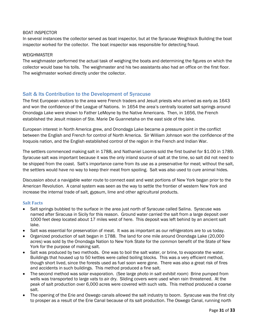### BOAT INSPECTOR

In several instances the collector served as boat inspector, but at the Syracuse Weighlock Building the boat inspector worked for the collector. The boat inspector was responsible for detecting fraud.

#### WEIGHMASTER

The weighmaster performed the actual task of weighing the boats and determining the figures on which the collector would base his tolls. The weighmaster and his two assistants also had an office on the first floor. The weighmaster worked directly under the collector.

### <span id="page-31-0"></span>Salt & Its Contribution to the Development of Syracuse

The first European visitors to the area were French traders and Jesuit priests who arrived as early as 1643 and won the confidence of the League of Nations. In 1654 the area's centrally located salt springs around Onondaga Lake were shown to Father LeMoyne by the Native Americans. Then, in 1656, the French established the Jesuit mission of Ste. Marie De Guannetaha on the east side of the lake.

European interest in North America grew, and Onondaga Lake became a pressure point in the conflict between the English and French for control of North America. Sir William Johnson won the confidence of the Iroquois nation, and the English established control of the region in the French and Indian War.

The settlers commenced making salt in 1788, and Nathaniel Loomis sold the first bushel for \$1.00 in 1789. Syracuse salt was important because it was the only inland source of salt at the time, so salt did not need to be shipped from the coast. Salt's importance came from its use as a preservative for meat; without the salt, the settlers would have no way to keep their meat from spoiling. Salt was also used to cure animal hides.

Discussion about a navigable water route to connect east and west portions of New York began prior to the American Revolution. A canal system was seen as the way to settle the frontier of western New York and increase the internal trade of salt, gypsum, lime and other agricultural products.

### <span id="page-31-1"></span>**Salt Facts**

- Salt springs bubbled to the surface in the area just north of Syracuse called Salina. Syracuse was named after Siracusa in Sicily for this reason. Ground water carried the salt from a large deposit over 1000 feet deep located about 17 miles west of here. This deposit was left behind by an ancient salt lake.
- Salt was essential for preservation of meat. It was as important as our refrigerators are to us today.
- Organized production of salt began in 1788. The land for one mile around Onondaga Lake (20,000 acres) was sold by the Onondaga Nation to New York State for the common benefit of the State of New York for the purpose of making salt.
- Salt was produced by two methods. One was to boil the salt water, or brine, to evaporate the water. Buildings that housed up to 50 kettles were called boiling blocks. This was a very efficient method, though short lived, since the forests used as fuel soon were gone. There was also a great risk of fires and accidents in such buildings. This method produced a fine salt.
- The second method was solar evaporation. (See large photo in *salt exhibit room*) Brine pumped from wells was transported to large vats to air dry. Sliding covers were used when rain threatened. At the peak of salt production over 6,000 acres were covered with such vats. This method produced a coarse salt.
- The opening of the Erie and Oswego canals allowed the salt industry to boom. Syracuse was the first city to prosper as a result of the Erie Canal because of its salt production. The Oswego Canal, running north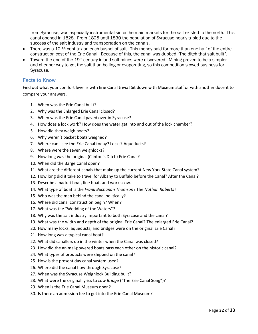from Syracuse, was especially instrumental since the main markets for the salt existed to the north. This canal opened in 1828. From 1825 until 1830 the population of Syracuse nearly tripled due to the success of the salt industry and transportation on the canals.

- There was a 12  $\frac{1}{2}$  cent tax on each bushel of salt. This money paid for more than one half of the entire construction cost of the Erie Canal. Because of this, the canal was dubbed "The ditch that salt built".
- Toward the end of the 19<sup>th</sup> century inland salt mines were discovered. Mining proved to be a simpler and cheaper way to get the salt than boiling or evaporating, so this competition slowed business for Syracuse.

## <span id="page-32-0"></span>Facts to Know

Find out what your comfort level is with Erie Canal trivia! Sit down with Museum staff or with another docent to compare your answers.

- 1. When was the Erie Canal built?
- 2. Why was the Enlarged Erie Canal closed?
- 3. When was the Erie Canal paved over in Syracuse?
- 4. How does a lock work? How does the water get into and out of the lock chamber?
- 5. How did they weigh boats?
- 6. Why weren't packet boats weighed?
- 7. Where can I see the Erie Canal today? Locks? Aqueducts?
- 8. Where were the seven weighlocks?
- 9. How long was the original (Clinton's Ditch) Erie Canal?
- 10. When did the Barge Canal open?
- 11. What are the different canals that make up the current New York State Canal system?
- 12. How long did it take to travel for Albany to Buffalo before the Canal? After the Canal?
- 13. Describe a packet boat, line boat, and work scow.
- 14. What type of boat is the *Frank Buchanan Thomson*? The *Nathan Roberts*?
- 15. Who was the man behind the canal politically?
- 16. Where did canal construction begin? When?
- 17. What was the "Wedding of the Waters"?
- 18. Why was the salt industry important to both Syracuse and the canal?
- 19. What was the width and depth of the original Erie Canal? The enlarged Erie Canal?
- 20. How many locks, aqueducts, and bridges were on the original Erie Canal?
- 21. How long was a typical canal boat?
- 22. What did canallers do in the winter when the Canal was closed?
- 23. How did the animal-powered boats pass each other on the historic canal?
- 24. What types of products were shipped on the canal?
- 25. How is the present day canal system used?
- 26. Where did the canal flow through Syracuse?
- 27. When was the Syracuse Weighlock Building built?
- 28. What were the original lyrics to *Low Bridge* ("The Erie Canal Song")?
- 29. When is the Erie Canal Museum open?
- 30. Is there an admission fee to get into the Erie Canal Museum?